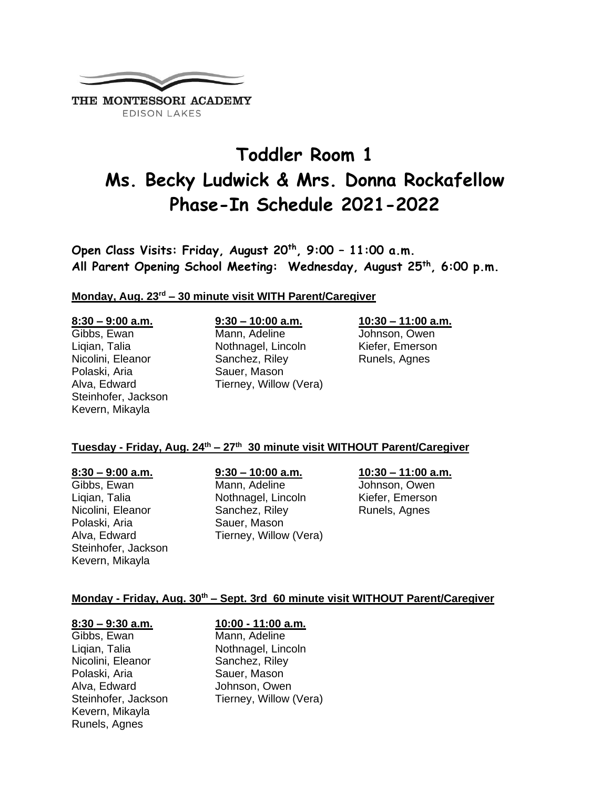

# **Toddler Room 1 Ms. Becky Ludwick & Mrs. Donna Rockafellow Phase-In Schedule 2021-2022**

**Open Class Visits: Friday, August 20th, 9:00 – 11:00 a.m. All Parent Opening School Meeting: Wednesday, August 25th, 6:00 p.m.**

### **Monday, Aug. 23rd – 30 minute visit WITH Parent/Caregiver**

Polaski, Aria **Sauer**, Mason Steinhofer, Jackson Kevern, Mikayla

### **8:30 – 9:00 a.m. 9:30 – 10:00 a.m. 10:30 – 11:00 a.m.**

Gibbs, Ewan Mann, Adeline Johnson, Owen Liqian, Talia **Nothnagel, Lincoln** Kiefer, Emerson Nicolini, Eleanor **Sanchez, Riley Runels, Agnes** Runels, Agnes Alva, Edward Tierney, Willow (Vera)

# **Tuesday - Friday, Aug. 24 th – 27th 30 minute visit WITHOUT Parent/Caregiver**

Polaski, Aria Sauer, Mason<br>Alva, Edward Tiernev. Willow Steinhofer, Jackson Kevern, Mikayla

Gibbs, Ewan Mann, Adeline Johnson, Owen Liqian, Talia **Nothnagel, Lincoln** Kiefer, Emerson Nicolini, Eleanor Sanchez, Riley Runels, Agnes Tierney, Willow (Vera)

### **8:30 – 9:00 a.m. 9:30 – 10:00 a.m. 10:30 – 11:00 a.m.**

## **Monday - Friday, Aug. 30th – Sept. 3rd 60 minute visit WITHOUT Parent/Caregiver**

## **8:30 – 9:30 a.m. 10:00 - 11:00 a.m.**

Gibbs, Ewan Mann, Adeline Ligian, Talia **Nothnagel**, Lincoln Nicolini, Eleanor Sanchez, Riley Polaski, Aria **Sauer**, Mason Alva, Edward Johnson, Owen Kevern, Mikayla Runels, Agnes

Steinhofer, Jackson Tierney, Willow (Vera)